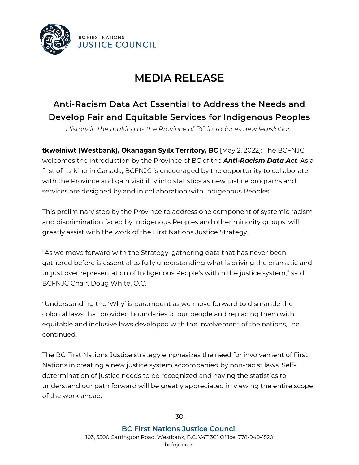

## **MEDIA RELEASE**

## **Anti-Racism Data Act Essential to Address the Needs and Develop Fair and Equitable Services for Indigenous Peoples**

*History in the making as the Province of BC introduces new legislation.*

**tkwəɬniwt (Westbank), Okanagan Syilx Territory, BC** [May 2, 2022]: The BCFNJC welcomes the introduction by the Province of BC of the *Anti-Racism Data Act*. As a first of its kind in Canada, BCFNJC is encouraged by the opportunity to collaborate with the Province and gain visibility into statistics as new justice programs and services are designed by and in collaboration with Indigenous Peoples.

This preliminary step by the Province to address one component of systemic racism and discrimination faced by Indigenous Peoples and other minority groups, will greatly assist with the work of the First Nations Justice Strategy.

"As we move forward with the Strategy, gathering data that has never been gathered before is essential to fully understanding what is driving the dramatic and unjust over representation of Indigenous People's within the justice system," said BCFNJC Chair, Doug White, Q.C.

"Understanding the 'Why' is paramount as we move forward to dismantle the colonial laws that provided boundaries to our people and replacing them with equitable and inclusive laws developed with the involvement of the nations," he continued.

The BC First Nations Justice strategy emphasizes the need for involvement of First Nations in creating a new justice system accompanied by non-racist laws. Selfdetermination of justice needs to be recognized and having the statistics to understand our path forward will be greatly appreciated in viewing the entire scope of the work ahead.

-30-